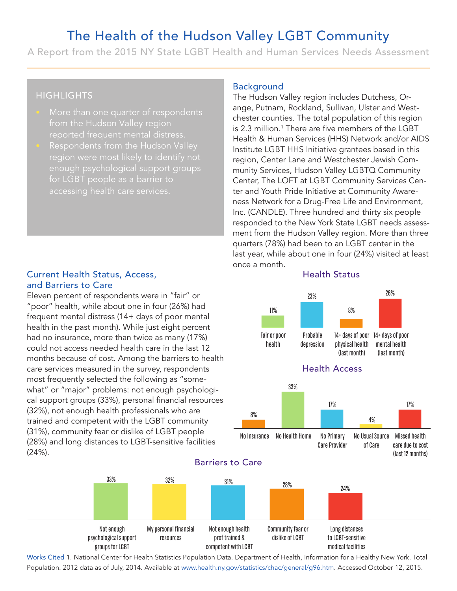# The Health of the Hudson Valley LGBT Community

A Report from the 2015 NY State LGBT Health and Human Services Needs Assessment

# **HIGHLIGHTS**

- More than one quarter of respondents from the Hudson Valley region
- Respondents from the Hudson Valley enough psychological support groups for LGBT people as a barrier to

### Current Health Status, Access, and Barriers to Care

Eleven percent of respondents were in "fair" or "poor" health, while about one in four (26%) had frequent mental distress (14+ days of poor mental health in the past month). While just eight percent had no insurance, more than twice as many (17%) could not access needed health care in the last 12 months because of cost. Among the barriers to health care services measured in the survey, respondents most frequently selected the following as "somewhat" or "major" problems: not enough psychological support groups (33%), personal financial resources (32%), not enough health professionals who are trained and competent with the LGBT community (31%), community fear or dislike of LGBT people (28%) and long distances to LGBT-sensitive facilities (24%).

#### Background

The Hudson Valley region includes Dutchess, Orange, Putnam, Rockland, Sullivan, Ulster and Westchester counties. The total population of this region is 2.3 million.<sup>1</sup> There are five members of the LGBT Health & Human Services (HHS) Network and/or AIDS Institute LGBT HHS Initiative grantees based in this region, Center Lane and Westchester Jewish Community Services, Hudson Valley LGBTQ Community Center, The LOFT at LGBT Community Services Center and Youth Pride Initiative at Community Awareness Network for a Drug-Free Life and Environment, Inc. (CANDLE). Three hundred and thirty six people responded to the New York State LGBT needs assessment from the Hudson Valley region. More than three quarters (78%) had been to an LGBT center in the last year, while about one in four (24%) visited at least once a month. Expround<br>
Hudson Valley<br>
e, Putnam, Roc<br>
ster counties. T<br>
3 million.<sup>1</sup> The<br>
lith & Human S<br>
itute LGBT HH:<br>
ion, Center Lan<br>
ity Services, H<br>
ter, The LOFT<br>
and Youth Pride<br>
s Network for a<br>
(CANDLE). Thi<br>
bonded to the and<br>
and<br>
an Valley region includes Dutchess, Or-<br>
banam, Rockland, Sullivan, Ulster and West<br>
uunties. The total population of this regio<br>
on.<sup>1</sup> There are five members of the LGBT<br>
duman Services (HHS) Network and/or A<br>

#### Health Status





Works Cited 1. National Center for Health Statistics Population Data. Department of Health, Information for a Healthy New York. Total Population. 2012 data as of July, 2014. Available at www.health.ny.gov/statistics/chac/general/g96.htm. Accessed October 12, 2015.